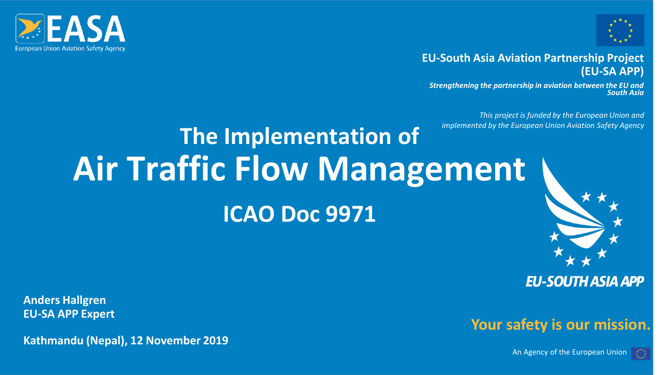



#### **EU-South Asia Aviation Partnership Project (EU-SA APP)**

*Strengthening the partnership in aviation between the EU and South Asia*

*This project is funded by the European Union and implemented by the European Union Aviation Safety Agency*

# **The Implementation of Air Traffic Flow Management ICAO Doc 9971**



**EU-SOUTH ASIA APP** 

**Your safety is our mission.**

**Anders Hallgren EU-SA APP Expert**

**Kathmandu (Nepal), 12 November 2019**

An Agency of the European Union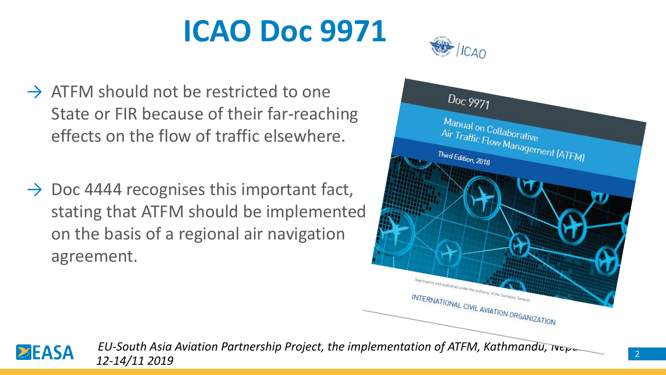

- $\rightarrow$  ATFM should not be restricted to one State or FIR because of their far-reaching effects on the flow of traffic elsewhere.
- $\rightarrow$  Doc 4444 recognises this important fact, stating that ATFM should be implemented on the basis of a regional air navigation agreement.



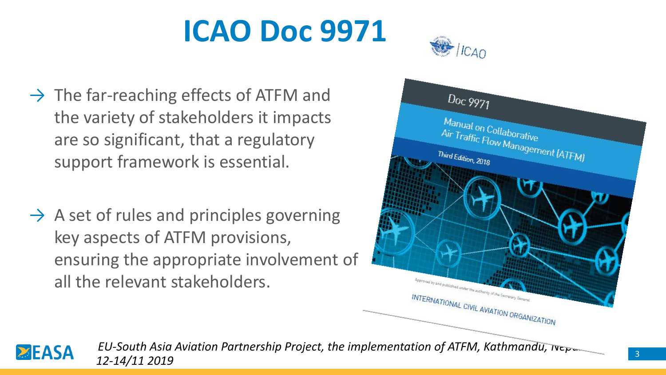

- $\rightarrow$  The far-reaching effects of ATFM and the variety of stakeholders it impacts are so significant, that a regulatory support framework is essential.
- $\rightarrow$  A set of rules and principles governing key aspects of ATFM provisions, ensuring the appropriate involvement of all the relevant stakeholders.



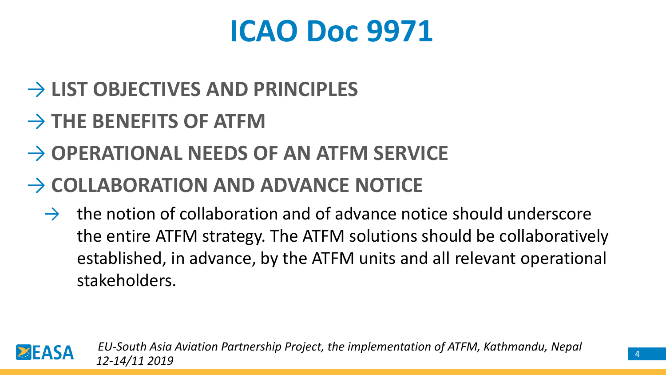- → **LIST OBJECTIVES AND PRINCIPLES**
- → **THE BENEFITS OF ATFM**
- → **OPERATIONAL NEEDS OF AN ATFM SERVICE**
- → **COLLABORATION AND ADVANCE NOTICE**
	- $\rightarrow$  the notion of collaboration and of advance notice should underscore the entire ATFM strategy. The ATFM solutions should be collaboratively established, in advance, by the ATFM units and all relevant operational stakeholders.

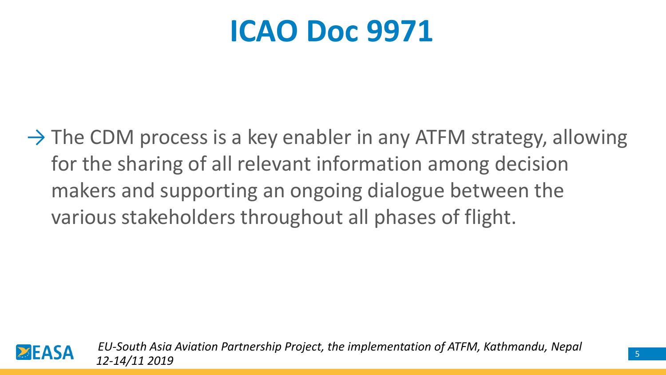$\rightarrow$  The CDM process is a key enabler in any ATFM strategy, allowing for the sharing of all relevant information among decision makers and supporting an ongoing dialogue between the various stakeholders throughout all phases of flight.

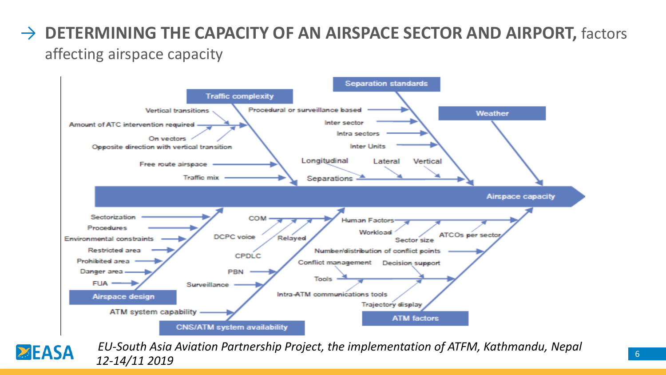#### → **DETERMINING THE CAPACITY OF AN AIRSPACE SECTOR AND AIRPORT, factors** affecting airspace capacity



*EU-South Asia Aviation Partnership Project, the implementation of ATFM, Kathmandu, Nepal***EASA** *12-14/11 2019*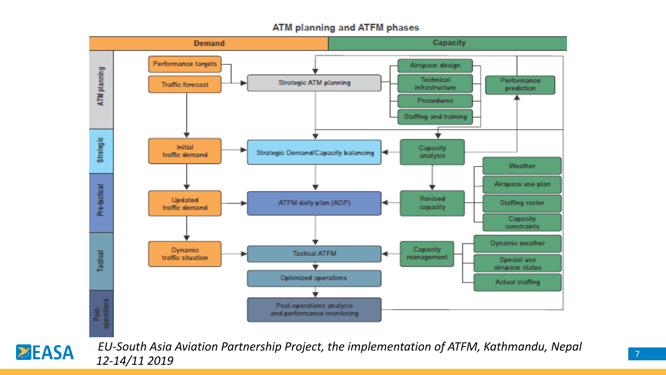#### ATM planning and ATFM phases



**ZEASA**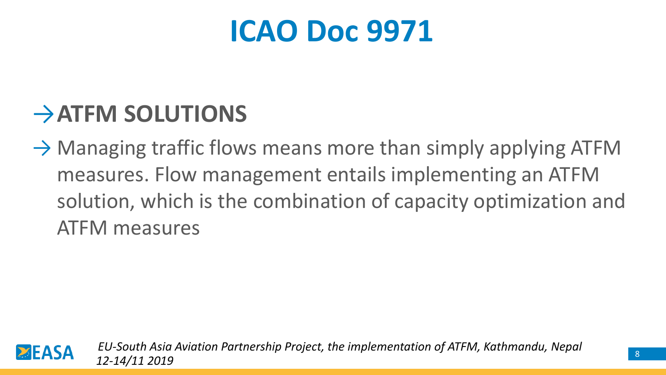### →**ATFM SOLUTIONS**

 $\rightarrow$  Managing traffic flows means more than simply applying ATFM measures. Flow management entails implementing an ATFM solution, which is the combination of capacity optimization and ATFM measures

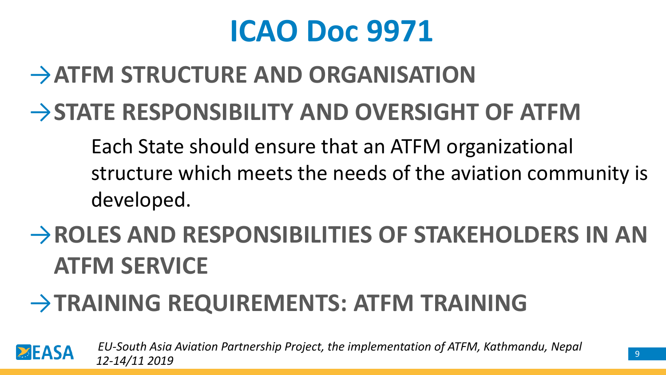## →**ATFM STRUCTURE AND ORGANISATION**

### →**STATE RESPONSIBILITY AND OVERSIGHT OF ATFM**

Each State should ensure that an ATFM organizational structure which meets the needs of the aviation community is developed.

## →**ROLES AND RESPONSIBILITIES OF STAKEHOLDERS IN AN ATFM SERVICE**

## →**TRAINING REQUIREMENTS: ATFM TRAINING**

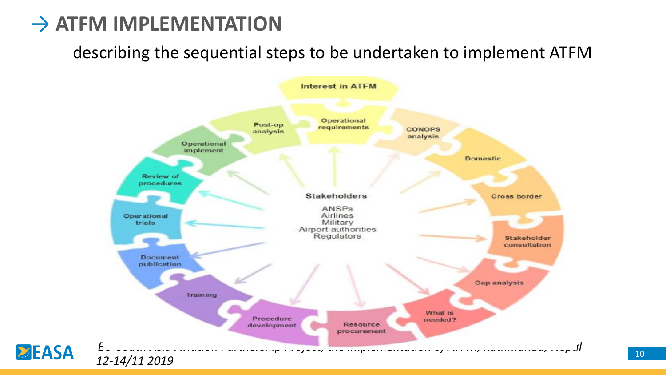#### **→ ATFM IMPLEMENTATION**

**ZEASA** 

describing the sequential steps to be undertaken to implement ATFM

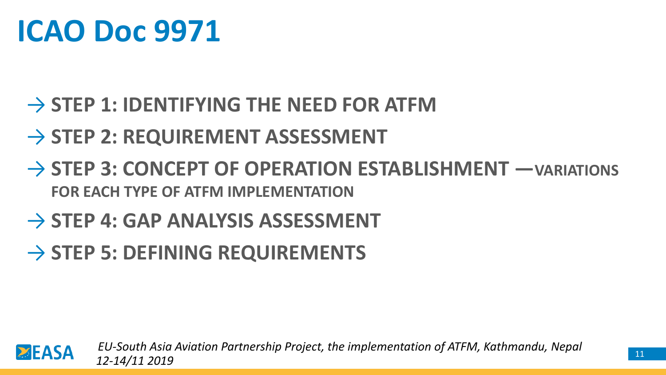#### → **STEP 1: IDENTIFYING THE NEED FOR ATFM**

#### → **STEP 2: REQUIREMENT ASSESSMENT**

→ **STEP 3: CONCEPT OF OPERATION ESTABLISHMENT —VARIATIONS FOR EACH TYPE OF ATFM IMPLEMENTATION**

#### → **STEP 4: GAP ANALYSIS ASSESSMENT**

#### → **STEP 5: DEFINING REQUIREMENTS**

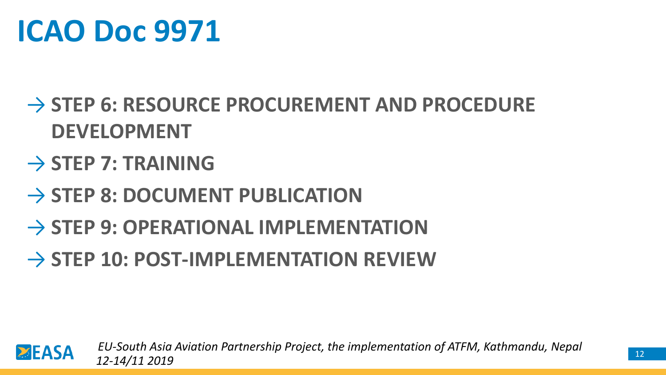#### → **STEP 6: RESOURCE PROCUREMENT AND PROCEDURE DEVELOPMENT**

#### → **STEP 7: TRAINING**

- → **STEP 8: DOCUMENT PUBLICATION**
- → **STEP 9: OPERATIONAL IMPLEMENTATION**
- → **STEP 10: POST-IMPLEMENTATION REVIEW**